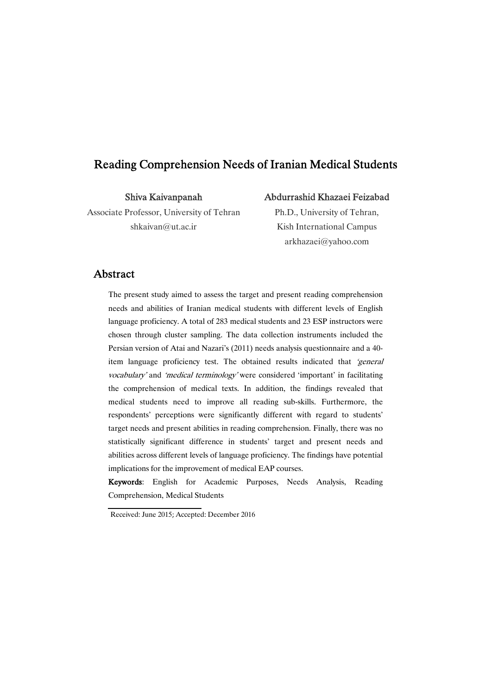# Reading Comprehension Needs of Iranian Medical Students

Shiva Kaivanpanah

Associate Professor, University of Tehran shkaivan@ut.ac.ir

### Abdurrashid Khazaei Feizabad

Ph.D., University of Tehran, Kish International Campus arkhazaei@yahoo.com

## Abstract

The present study aimed to assess the target and present reading comprehension needs and abilities of Iranian medical students with different levels of English language proficiency. A total of 283 medical students and 23 ESP instructors were chosen through cluster sampling. The data collection instruments included the Persian version of Atai and Nazari's (2011) needs analysis questionnaire and a 40 item language proficiency test. The obtained results indicated that 'general vocabulary' and 'medical terminology' were considered 'important' in facilitating the comprehension of medical texts. In addition, the findings revealed that medical students need to improve all reading sub-skills. Furthermore, the respondents' perceptions were significantly different with regard to students' target needs and present abilities in reading comprehension. Finally, there was no statistically significant difference in students' target and present needs and abilities across different levels of language proficiency. The findings have potential implications for the improvement of medical EAP courses.

Keywords: English for Academic Purposes, Needs Analysis, Reading Comprehension, Medical Students

Received: June 2015; Accepted: December 2016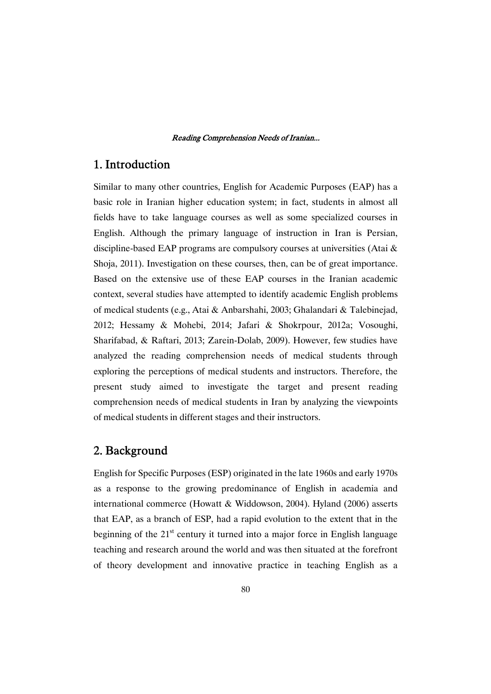# 1. Introduction

Similar to many other countries, English for Academic Purposes (EAP) has a basic role in Iranian higher education system; in fact, students in almost all fields have to take language courses as well as some specialized courses in English. Although the primary language of instruction in Iran is Persian, discipline-based EAP programs are compulsory courses at universities (Atai & Shoja, 2011). Investigation on these courses, then, can be of great importance. Based on the extensive use of these EAP courses in the Iranian academic context, several studies have attempted to identify academic English problems of medical students (e.g., Atai & Anbarshahi, 2003; Ghalandari & Talebinejad, 2012; Hessamy & Mohebi, 2014; Jafari & Shokrpour, 2012a; Vosoughi, Sharifabad, & Raftari, 2013; Zarein-Dolab, 2009). However, few studies have analyzed the reading comprehension needs of medical students through exploring the perceptions of medical students and instructors. Therefore, the present study aimed to investigate the target and present reading comprehension needs of medical students in Iran by analyzing the viewpoints of medical students in different stages and their instructors.

# 2.Background

English for Specific Purposes (ESP) originated in the late 1960s and early 1970s as a response to the growing predominance of English in academia and international commerce (Howatt & Widdowson, 2004). Hyland (2006) asserts that EAP, as a branch of ESP, had a rapid evolution to the extent that in the beginning of the  $21<sup>st</sup>$  century it turned into a major force in English language teaching and research around the world and was then situated at the forefront of theory development and innovative practice in teaching English as a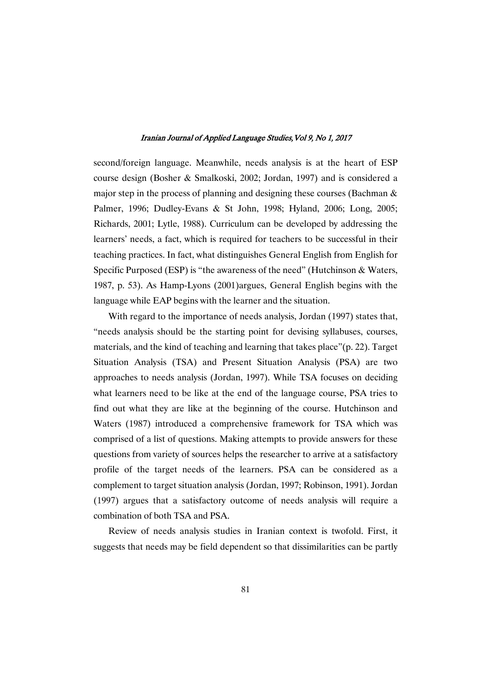second/foreign language. Meanwhile, needs analysis is at the heart of ESP course design (Bosher & Smalkoski, 2002; Jordan, 1997) and is considered a major step in the process of planning and designing these courses (Bachman & Palmer, 1996; Dudley-Evans & St John, 1998; Hyland, 2006; Long, 2005; Richards, 2001; Lytle, 1988). Curriculum can be developed by addressing the learners' needs, a fact, which is required for teachers to be successful in their teaching practices. In fact, what distinguishes General English from English for Specific Purposed (ESP) is "the awareness of the need" (Hutchinson & Waters, 1987, p. 53). As Hamp-Lyons (2001)argues, General English begins with the language while EAP begins with the learner and the situation.

With regard to the importance of needs analysis, Jordan (1997) states that, "needs analysis should be the starting point for devising syllabuses, courses, materials, and the kind of teaching and learning that takes place"(p. 22). Target Situation Analysis (TSA) and Present Situation Analysis (PSA) are two approaches to needs analysis (Jordan, 1997). While TSA focuses on deciding what learners need to be like at the end of the language course, PSA tries to find out what they are like at the beginning of the course. Hutchinson and Waters (1987) introduced a comprehensive framework for TSA which was comprised of a list of questions. Making attempts to provide answers for these questions from variety of sources helps the researcher to arrive at a satisfactory profile of the target needs of the learners. PSA can be considered as a complement to target situation analysis (Jordan, 1997; Robinson, 1991). Jordan (1997) argues that a satisfactory outcome of needs analysis will require a combination of both TSA and PSA.

Review of needs analysis studies in Iranian context is twofold. First, it suggests that needs may be field dependent so that dissimilarities can be partly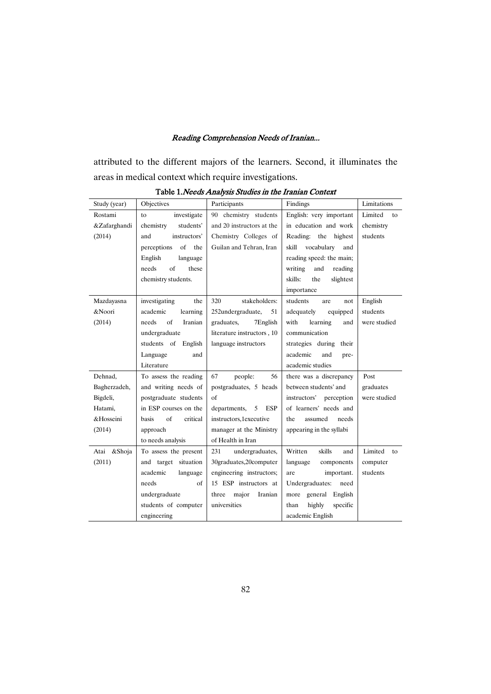attributed to the different majors of the learners. Second, it illuminates the areas in medical context which require investigations.

| Study (year) | Objectives                   | Participants                    | Findings                    | Limitations   |  |
|--------------|------------------------------|---------------------------------|-----------------------------|---------------|--|
| Rostami      | investigate<br>to            | chemistry students<br>90        | English: very important     | Limited<br>to |  |
| &Zafarghandi | chemistry<br>students'       | and 20 instructors at the       | in education and work       | chemistry     |  |
| (2014)       | and<br>instructors'          | Chemistry Colleges of           | Reading:<br>the<br>highest  | students      |  |
|              | of<br>perceptions<br>the     | Guilan and Tehran, Iran         | skill<br>vocabulary<br>and  |               |  |
|              | English<br>language          |                                 | reading speed: the main;    |               |  |
|              | $\sigma$ f<br>these<br>needs |                                 | writing<br>and<br>reading   |               |  |
|              | chemistry students.          |                                 | skills:<br>the<br>slightest |               |  |
|              |                              |                                 | importance                  |               |  |
| Mazdayasna   | investigating<br>the         | 320<br>stakeholders:            | students<br>are<br>not      | English       |  |
| &Noori       | academic<br>learning         | 252undergraduate,<br>51         | adequately<br>equipped      | students      |  |
| (2014)       | of<br>Iranian<br>needs       | graduates,<br>7English          | with<br>learning<br>and     | were studied  |  |
|              | undergraduate                | literature instructors, 10      | communication               |               |  |
|              | students of English          | language instructors            | strategies during<br>their  |               |  |
|              | Language<br>and              |                                 | academic<br>and<br>pre-     |               |  |
|              | Literature                   |                                 | academic studies            |               |  |
| Dehnad,      | To assess the reading        | 67<br>people:<br>56             | there was a discrepancy     | Post          |  |
| Bagherzadeh, | and writing needs of         | postgraduates, 5 heads          | between students' and       | graduates     |  |
| Bigdeli,     | postgraduate students        | of                              | instructors' perception     | were studied  |  |
| Hatami.      | in ESP courses on the        | departments,<br><b>ESP</b><br>5 | of learners' needs and      |               |  |
| &Hosseini    | of<br>critical<br>basis      | instructors,1executive          | the<br>assumed<br>needs     |               |  |
| (2014)       | approach                     | manager at the Ministry         | appearing in the syllabi    |               |  |
|              | to needs analysis            | of Health in Iran               |                             |               |  |
| Atai &Shoja  | To assess the present        | 231<br>undergraduates,          | Written<br>skills<br>and    | Limited<br>to |  |
| (2011)       | and target situation         | 30graduates,20computer          | language<br>components      | computer      |  |
|              | academic<br>language         | engineering instructors;        | important.<br>are           | students      |  |
|              | of<br>needs                  | 15 ESP instructors at           | Undergraduates:<br>need     |               |  |
|              | undergraduate                | major<br>Iranian<br>three       | general English<br>more     |               |  |
|              | students of computer         | universities                    | specific<br>highly<br>than  |               |  |
|              | engineering                  |                                 | academic English            |               |  |

Table 1.Needs Analysis Studies in the Iranian Context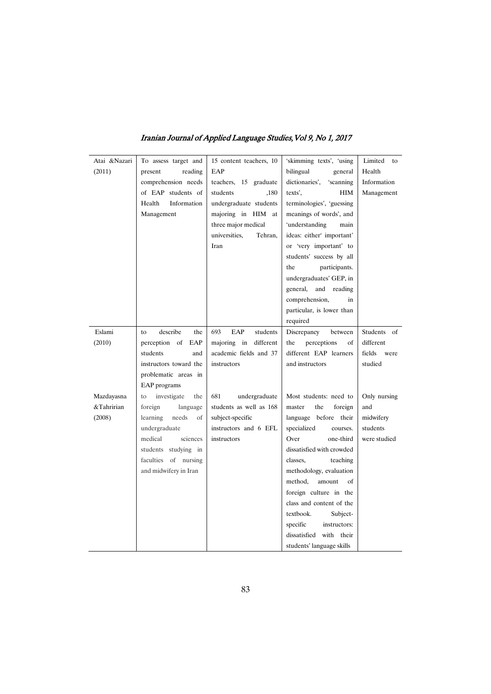| Atai &Nazari | To assess target and     | 15 content teachers, 10  | 'skimming texts', 'using    | Limited<br>to  |
|--------------|--------------------------|--------------------------|-----------------------------|----------------|
| (2011)       | present<br>reading       | EAP                      | bilingual<br>general        | Health         |
|              | comprehension needs      | teachers, 15 graduate    | dictionaries',<br>'scanning | Information    |
|              | of EAP students of       | students<br>,180         | texts',<br>HIM              | Management     |
|              | Information<br>Health    | undergraduate students   | terminologies', 'guessing   |                |
|              | Management               | majoring in HIM at       | meanings of words', and     |                |
|              |                          | three major medical      | 'understanding<br>main      |                |
|              |                          | universities,<br>Tehran, | ideas: either' important'   |                |
|              |                          | Iran                     | or 'very important' to      |                |
|              |                          |                          | students' success by all    |                |
|              |                          |                          | participants.<br>the        |                |
|              |                          |                          | undergraduates' GEP, in     |                |
|              |                          |                          | general,<br>and<br>reading  |                |
|              |                          |                          | comprehension,<br>in        |                |
|              |                          |                          | particular, is lower than   |                |
|              |                          |                          | required                    |                |
| Eslami       | describe<br>the<br>to    | EAP<br>students<br>693   | Discrepancy<br>between      | Students of    |
| (2010)       | perception of EAP        | different<br>majoring in | perceptions<br>the<br>οf    | different      |
|              | students<br>and          | academic fields and 37   | different EAP learners      | fields<br>were |
|              | instructors toward the   | instructors              | and instructors             | studied        |
|              | problematic areas in     |                          |                             |                |
|              | EAP programs             |                          |                             |                |
| Mazdayasna   | investigate<br>to<br>the | 681<br>undergraduate     | Most students: need to      | Only nursing   |
| &Tahririan   | foreign<br>language      | students as well as 168  | the<br>foreign<br>master    | and            |
| (2008)       | learning<br>needs<br>of  | subject-specific         | language before their       | midwifery      |
|              | undergraduate            | instructors and 6 EFL    | specialized<br>courses.     | students       |
|              | sciences<br>medical      | instructors              | Over<br>one-third           | were studied   |
|              | students studying in     |                          | dissatisfied with crowded   |                |
|              | faculties of nursing     |                          | teaching<br>classes,        |                |
|              | and midwifery in Iran    |                          | methodology, evaluation     |                |
|              |                          |                          | method,<br>amount<br>of     |                |
|              |                          |                          | foreign culture in the      |                |
|              |                          |                          | class and content of the    |                |
|              |                          |                          | textbook.<br>Subject-       |                |
|              |                          |                          | specific<br>instructors:    |                |
|              |                          |                          | dissatisfied<br>with their  |                |
|              |                          |                          | students' language skills   |                |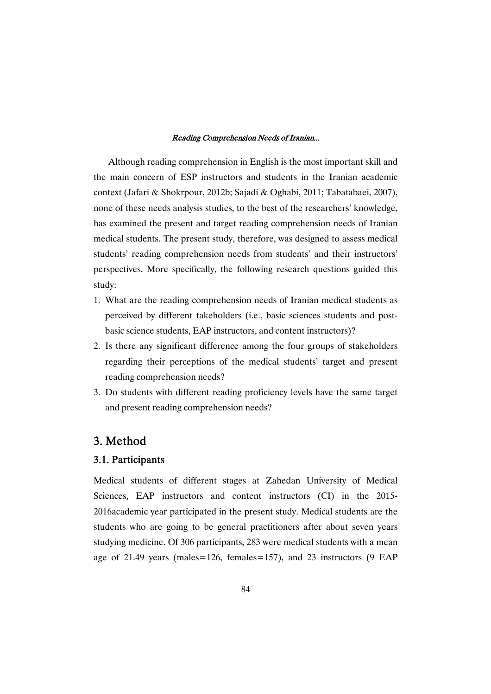Although reading comprehension in English is the most important skill and the main concern of ESP instructors and students in the Iranian academic context (Jafari & Shokrpour, 2012b; Sajadi & Oghabi, 2011; Tabatabaei, 2007), none of these needs analysis studies, to the best of the researchers' knowledge, has examined the present and target reading comprehension needs of Iranian medical students. The present study, therefore, was designed to assess medical students' reading comprehension needs from students' and their instructors' perspectives. More specifically, the following research questions guided this study:

- 1. What are the reading comprehension needs of Iranian medical students as perceived by different takeholders (i.e., basic sciences students and postbasic science students, EAP instructors, and content instructors)?
- 2. Is there any significant difference among the four groups of stakeholders regarding their perceptions of the medical students' target and present reading comprehension needs?
- 3. Do students with different reading proficiency levels have the same target and present reading comprehension needs?

## 3.Method

## 3.1.Participants

Medical students of different stages at Zahedan University of Medical Sciences, EAP instructors and content instructors (CI) in the 2015-2016academic year participated in the present study. Medical students are the students who are going to be general practitioners after about seven years studying medicine. Of 306 participants, 283 were medical students with a mean age of 21.49 years (males=126, females=157), and 23 instructors (9 EAP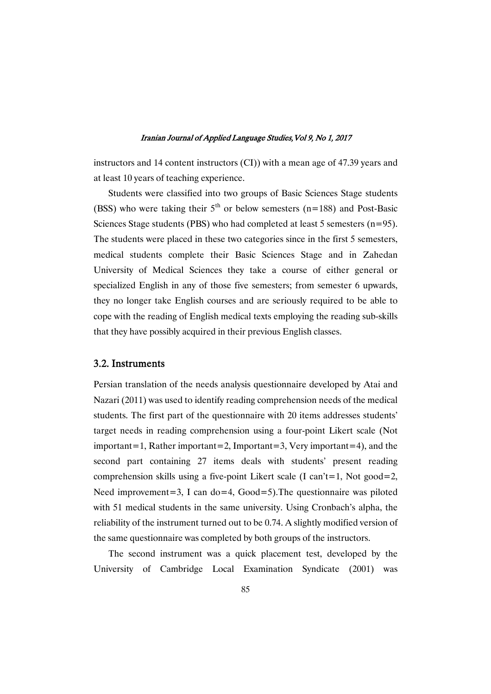instructors and 14 content instructors (CI)) with a mean age of 47.39 years and at least 10 years of teaching experience.

Students were classified into two groups of Basic Sciences Stage students (BSS) who were taking their  $5<sup>th</sup>$  or below semesters (n=188) and Post-Basic Sciences Stage students (PBS) who had completed at least 5 semesters  $(n=95)$ . The students were placed in these two categories since in the first 5 semesters, medical students complete their Basic Sciences Stage and in Zahedan University of Medical Sciences they take a course of either general or specialized English in any of those five semesters; from semester 6 upwards, they no longer take English courses and are seriously required to be able to cope with the reading of English medical texts employing the reading sub-skills that they have possibly acquired in their previous English classes.

### 3.2.Instruments

Persian translation of the needs analysis questionnaire developed by Atai and Nazari (2011) was used to identify reading comprehension needs of the medical students. The first part of the questionnaire with 20 items addresses students' target needs in reading comprehension using a four-point Likert scale (Not important=1, Rather important=2, Important=3, Very important=4), and the second part containing 27 items deals with students' present reading comprehension skills using a five-point Likert scale (I can't=1, Not good=2, Need improvement=3, I can do=4,  $Good=5$ ). The questionnaire was piloted with 51 medical students in the same university. Using Cronbach's alpha, the reliability of the instrument turned out to be 0.74. A slightly modified version of the same questionnaire was completed by both groups of the instructors.

The second instrument was a quick placement test, developed by the University of Cambridge Local Examination Syndicate (2001) was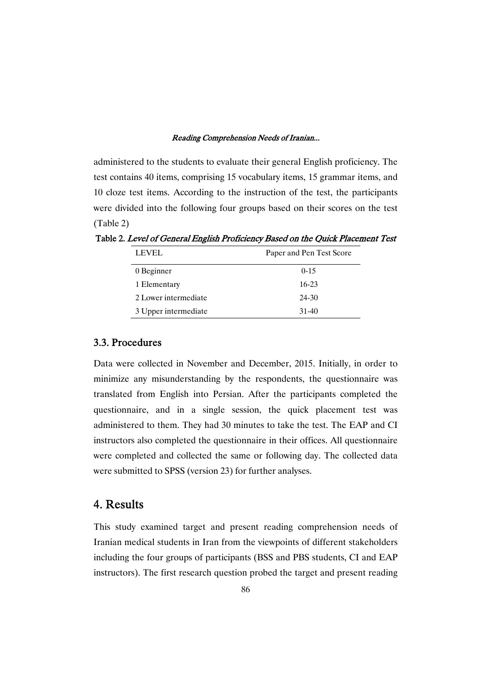administered to the students to evaluate their general English proficiency. The test contains 40 items, comprising 15 vocabulary items, 15 grammar items, and 10 cloze test items. According to the instruction of the test, the participants were divided into the following four groups based on their scores on the test (Table 2)

| <b>LEVEL</b>         | Paper and Pen Test Score |
|----------------------|--------------------------|
| 0 Beginner           | $0-15$                   |
| 1 Elementary         | 16-23                    |
| 2 Lower intermediate | 24-30                    |
| 3 Upper intermediate | 31-40                    |

Table 2. Level of General English Proficiency Based on the Quick Placement Test

## 3.3.Procedures

Data were collected in November and December, 2015. Initially, in order to minimize any misunderstanding by the respondents, the questionnaire was translated from English into Persian. After the participants completed the questionnaire, and in a single session, the quick placement test was administered to them. They had 30 minutes to take the test. The EAP and CI instructors also completed the questionnaire in their offices. All questionnaire were completed and collected the same or following day. The collected data were submitted to SPSS (version 23) for further analyses.

# 4.Results

This study examined target and present reading comprehension needs of Iranian medical students in Iran from the viewpoints of different stakeholders including the four groups of participants (BSS and PBS students, CI and EAP instructors). The first research question probed the target and present reading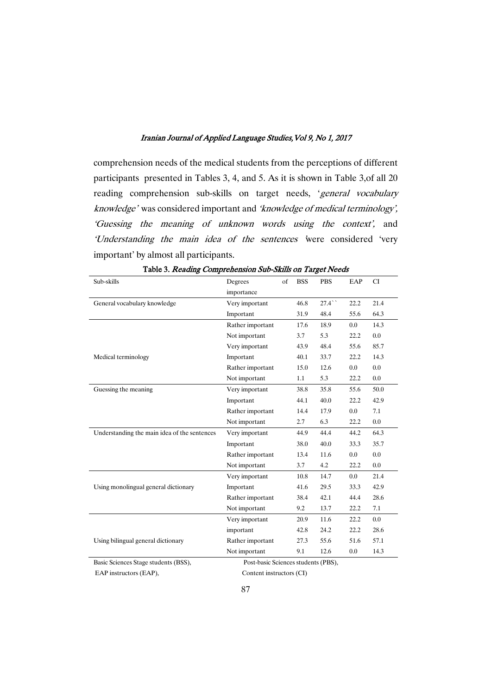comprehension needs of the medical students from the perceptions of different participants presented in Tables 3, 4, and 5. As it is shown in Table 3,of all 20 reading comprehension sub-skills on target needs, 'general vocabulary knowledge' was considered important and 'knowledge of medical terminology', 'Guessing the meaning of unknown words using the context', and 'Understanding the main idea of the sentences 'were considered 'very important' by almost all participants.

| Sub-skills                                   | Degrees                             | of | <b>BSS</b> | <b>PBS</b> | EAP     | <b>CI</b> |
|----------------------------------------------|-------------------------------------|----|------------|------------|---------|-----------|
|                                              | importance                          |    |            |            |         |           |
| General vocabulary knowledge                 | Very important                      |    | 46.8       | 27.4       | 22.2    | 21.4      |
|                                              | Important                           |    | 31.9       | 48.4       | 55.6    | 64.3      |
|                                              | Rather important                    |    | 17.6       | 18.9       | $0.0\,$ | 14.3      |
|                                              | Not important                       |    | 3.7        | 5.3        | 22.2    | 0.0       |
|                                              | Very important                      |    | 43.9       | 48.4       | 55.6    | 85.7      |
| Medical terminology                          | Important                           |    | 40.1       | 33.7       | 22.2    | 14.3      |
|                                              | Rather important                    |    | 15.0       | 12.6       | 0.0     | 0.0       |
|                                              | Not important                       |    | 1.1        | 5.3        | 22.2    | 0.0       |
| Guessing the meaning                         | Very important                      |    | 38.8       | 35.8       | 55.6    | 50.0      |
|                                              | Important                           |    | 44.1       | 40.0       | 22.2    | 42.9      |
|                                              | Rather important                    |    | 14.4       | 17.9       | $0.0\,$ | 7.1       |
|                                              | Not important                       |    | 2.7        | 6.3        | 22.2    | 0.0       |
| Understanding the main idea of the sentences | Very important                      |    | 44.9       | 44.4       | 44.2    | 64.3      |
|                                              | Important                           |    | 38.0       | 40.0       | 33.3    | 35.7      |
|                                              | Rather important                    |    | 13.4       | 11.6       | 0.0     | 0.0       |
|                                              | Not important                       |    | 3.7        | 4.2        | 22.2    | 0.0       |
|                                              | Very important                      |    | 10.8       | 14.7       | $0.0\,$ | 21.4      |
| Using monolingual general dictionary         | Important                           |    | 41.6       | 29.5       | 33.3    | 42.9      |
|                                              | Rather important                    |    | 38.4       | 42.1       | 44.4    | 28.6      |
|                                              | Not important                       |    | 9.2        | 13.7       | 22.2    | 7.1       |
|                                              | Very important                      |    | 20.9       | 11.6       | 22.2    | 0.0       |
|                                              | important                           |    | 42.8       | 24.2       | 22.2    | 28.6      |
| Using bilingual general dictionary           | Rather important                    |    | 27.3       | 55.6       | 51.6    | 57.1      |
|                                              | Not important                       |    | 9.1        | 12.6       | 0.0     | 14.3      |
| Basic Sciences Stage students (BSS),         | Post-basic Sciences students (PBS), |    |            |            |         |           |

Table 3. Reading Comprehension Sub-Skills on Target Needs

EAP instructors (EAP), Content instructors (CI)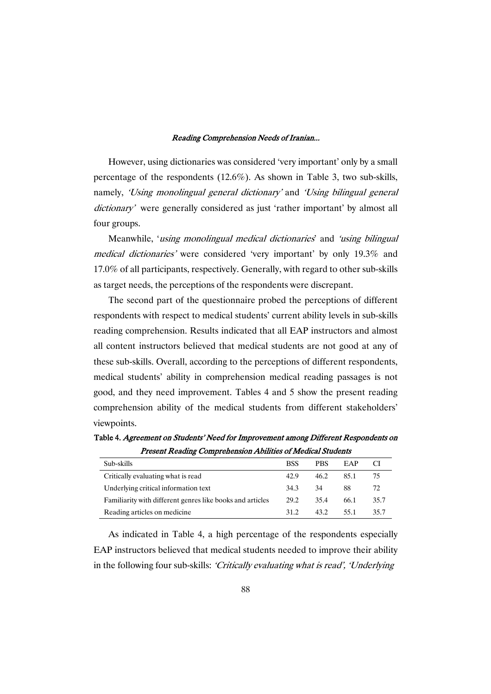However, using dictionaries was considered 'very important' only by a small percentage of the respondents (12.6%). As shown in Table 3, two sub-skills, namely, 'Using monolingual general dictionary' and 'Using bilingual general dictionary' were generally considered as just 'rather important' by almost all four groups.

Meanwhile, 'using monolingual medical dictionaries' and 'using bilingual medical dictionaries' were considered 'very important' by only 19.3% and 17.0% of all participants, respectively. Generally, with regard to other sub-skills as target needs, the perceptions of the respondents were discrepant.

The second part of the questionnaire probed the perceptions of different respondents with respect to medical students' current ability levels in sub-skills reading comprehension. Results indicated that all EAP instructors and almost all content instructors believed that medical students are not good at any of these sub-skills. Overall, according to the perceptions of different respondents, medical students' ability in comprehension medical reading passages is not good, and they need improvement. Tables 4 and 5 show the present reading comprehension ability of the medical students from different stakeholders' viewpoints.

| <b>Present Reading Comprehension Abilities of Medical Students</b> |            |            |      |      |  |
|--------------------------------------------------------------------|------------|------------|------|------|--|
| Sub-skills                                                         | <b>BSS</b> | <b>PBS</b> | EAP  | CI   |  |
| Critically evaluating what is read                                 | 42.9       | 46.2       | 851  | -75  |  |
| Underlying critical information text                               | 34.3       | - 34       | 88   | 72.  |  |
| Familiarity with different genres like books and articles          | 29.2       | 35.4       | 66.1 | 35.7 |  |

Reading articles on medicine 31.2 43.2 55.1 35.7

Table 4. Agreement on Students' Need for Improvement among Different Respondents on

As indicated in Table 4, a high percentage of the respondents especially EAP instructors believed that medical students needed to improve their ability in the following four sub-skills: 'Critically evaluating what is read', 'Underlying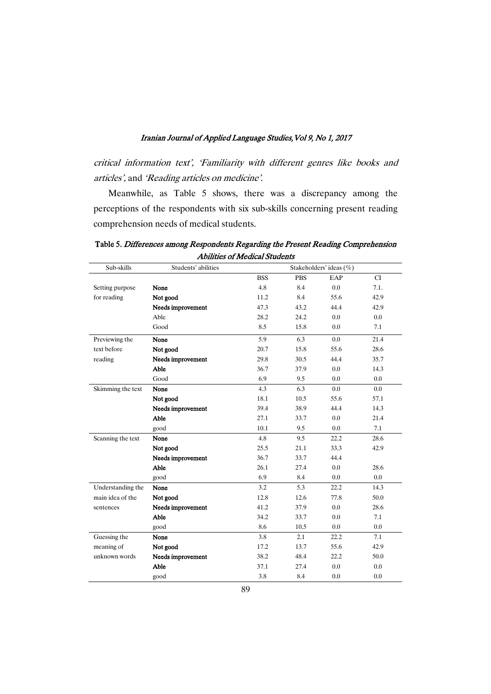critical information text', 'Familiarity with different genres like books and articles', and 'Reading articles on medicine'.

Meanwhile, as Table 5 shows, there was a discrepancy among the perceptions of the respondents with six sub-skills concerning present reading comprehension needs of medical students.

| Sub-skills        | Students' abilities |            |            | Stakeholders' ideas (%) |           |
|-------------------|---------------------|------------|------------|-------------------------|-----------|
|                   |                     | <b>BSS</b> | <b>PBS</b> | EAP                     | <b>CI</b> |
| Setting purpose   | None                | 4.8        | 8.4        | 0.0                     | 7.1.      |
| for reading       | Not good            | 11.2       | 8.4        | 55.6                    | 42.9      |
|                   | Needs improvement   | 47.3       | 43.2       | 44.4                    | 42.9      |
|                   | Able                | 28.2       | 24.2       | 0.0                     | 0.0       |
|                   | Good                | 8.5        | 15.8       | 0.0                     | 7.1       |
| Previewing the    | None                | 5.9        | 6.3        | 0.0                     | 21.4      |
| text before       | Not good            | 20.7       | 15.8       | 55.6                    | 28.6      |
| reading           | Needs improvement   | 29.8       | 30.5       | 44.4                    | 35.7      |
|                   | Able                | 36.7       | 37.9       | 0.0                     | 14.3      |
|                   | Good                | 6.9        | 9.5        | 0.0                     | 0.0       |
| Skimming the text | None                | 4.3        | 6.3        | 0.0                     | 0.0       |
|                   | Not good            | 18.1       | 10.5       | 55.6                    | 57.1      |
|                   | Needs improvement   | 39.4       | 38.9       | 44.4                    | 14.3      |
|                   | Able                | 27.1       | 33.7       | 0.0                     | 21.4      |
|                   | good                | 10.1       | 9.5        | 0.0                     | 7.1       |
| Scanning the text | None                | 4.8        | 9.5        | 22.2                    | 28.6      |
|                   | Not good            | 25.5       | 21.1       | 33.3                    | 42.9      |
|                   | Needs improvement   | 36.7       | 33.7       | 44.4                    |           |
|                   | Able                | 26.1       | 27.4       | 0.0                     | 28.6      |
|                   | good                | 6.9        | 8.4        | 0.0                     | 0.0       |
| Understanding the | None                | 3.2        | 5.3        | 22.2                    | 14.3      |
| main idea of the  | Not good            | 12.8       | 12.6       | 77.8                    | 50.0      |
| sentences         | Needs improvement   | 41.2       | 37.9       | 0.0                     | 28.6      |
|                   | Able                | 34.2       | 33.7       | 0.0                     | 7.1       |
|                   | good                | 8.6        | 10.5       | 0.0                     | 0.0       |
| Guessing the      | None                | 3.8        | 2.1        | 22.2                    | 7.1       |
| meaning of        | Not good            | 17.2       | 13.7       | 55.6                    | 42.9      |
| unknown words     | Needs improvement   | 38.2       | 48.4       | 22.2                    | 50.0      |
|                   | Able                | 37.1       | 27.4       | 0.0                     | 0.0       |
|                   | good                | 3.8        | 8.4        | 0.0                     | 0.0       |

Table 5. Differences among Respondents Regarding the Present Reading Comprehension Abilities of Medical Students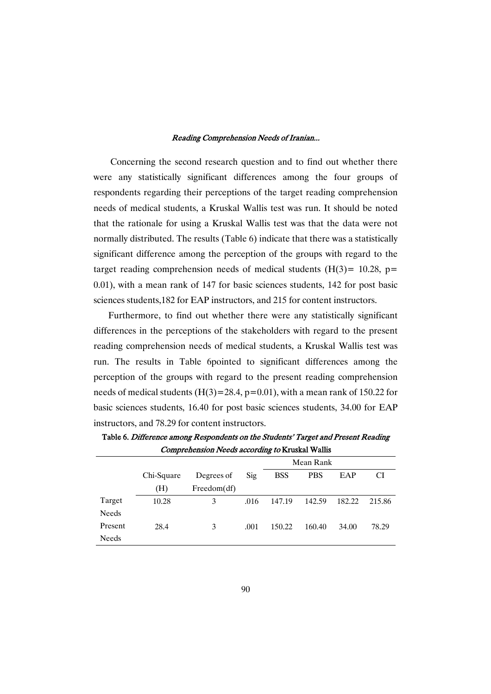Concerning the second research question and to find out whether there were any statistically significant differences among the four groups of respondents regarding their perceptions of the target reading comprehension needs of medical students, a Kruskal Wallis test was run. It should be noted that the rationale for using a Kruskal Wallis test was that the data were not normally distributed. The results (Table 6) indicate that there was a statistically significant difference among the perception of the groups with regard to the target reading comprehension needs of medical students  $(H(3)= 10.28, p=$ 0.01), with a mean rank of 147 for basic sciences students, 142 for post basic sciences students,182 for EAP instructors, and 215 for content instructors.

Furthermore, to find out whether there were any statistically significant differences in the perceptions of the stakeholders with regard to the present reading comprehension needs of medical students, a Kruskal Wallis test was run. The results in Table 6pointed to significant differences among the perception of the groups with regard to the present reading comprehension needs of medical students  $(H(3)=28.4, p=0.01)$ , with a mean rank of 150.22 for basic sciences students, 16.40 for post basic sciences students, 34.00 for EAP instructors, and 78.29 for content instructors.

|              |            |             |      | Mean Rank  |            |        |        |  |  |  |
|--------------|------------|-------------|------|------------|------------|--------|--------|--|--|--|
|              | Chi-Square | Degrees of  | Sig  | <b>BSS</b> | <b>PBS</b> | EAP    | СI     |  |  |  |
|              | (H)        | Freedom(df) |      |            |            |        |        |  |  |  |
| Target       | 10.28      | 3           | .016 | 147.19     | 142.59     | 182.22 | 215.86 |  |  |  |
| <b>Needs</b> |            |             |      |            |            |        |        |  |  |  |
| Present      | 28.4       | 3           | .001 | 150.22     | 160.40     | 34.00  | 78.29  |  |  |  |
| Needs        |            |             |      |            |            |        |        |  |  |  |

Table 6. Difference among Respondents on the Students' Target and Present Reading Comprehension Needs according to Kruskal Wallis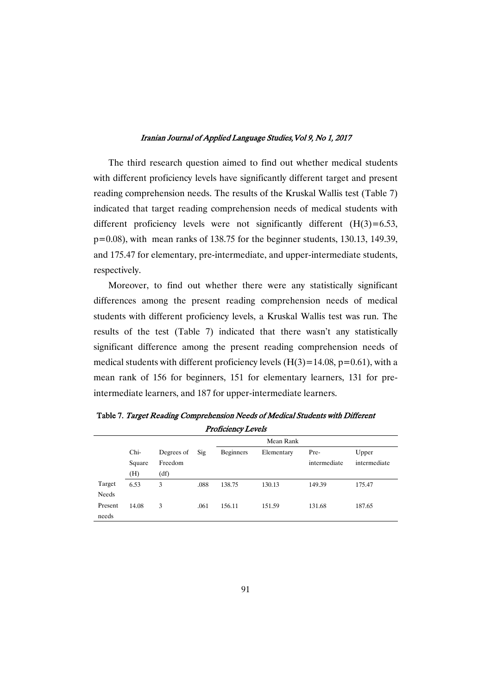The third research question aimed to find out whether medical students with different proficiency levels have significantly different target and present reading comprehension needs. The results of the Kruskal Wallis test (Table 7) indicated that target reading comprehension needs of medical students with different proficiency levels were not significantly different  $(H(3)=6.53)$ , p=0.08), with mean ranks of 138.75 for the beginner students, 130.13, 149.39, and 175.47 for elementary, pre-intermediate, and upper-intermediate students, respectively.

Moreover, to find out whether there were any statistically significant differences among the present reading comprehension needs of medical students with different proficiency levels, a Kruskal Wallis test was run. The results of the test (Table 7) indicated that there wasn't any statistically significant difference among the present reading comprehension needs of medical students with different proficiency levels  $(H(3)=14.08, p=0.61)$ , with a mean rank of 156 for beginners, 151 for elementary learners, 131 for preintermediate learners, and 187 for upper-intermediate learners.

| <b>FIULICIEILY LEVEIS</b> |        |            |      |           |            |              |              |  |
|---------------------------|--------|------------|------|-----------|------------|--------------|--------------|--|
|                           |        |            |      | Mean Rank |            |              |              |  |
|                           | Chi-   | Degrees of | Sig  | Beginners | Elementary | Pre-         | Upper        |  |
|                           | Square | Freedom    |      |           |            | intermediate | intermediate |  |
|                           | (H)    | (df)       |      |           |            |              |              |  |
| Target                    | 6.53   | 3          | .088 | 138.75    | 130.13     | 149.39       | 175.47       |  |
| Needs                     |        |            |      |           |            |              |              |  |
| Present                   | 14.08  | 3          | .061 | 156.11    | 151.59     | 131.68       | 187.65       |  |
| needs                     |        |            |      |           |            |              |              |  |

Table 7. Target Reading Comprehension Needs of Medical Students with Different  $P_{\text{max}}$ Colores Levels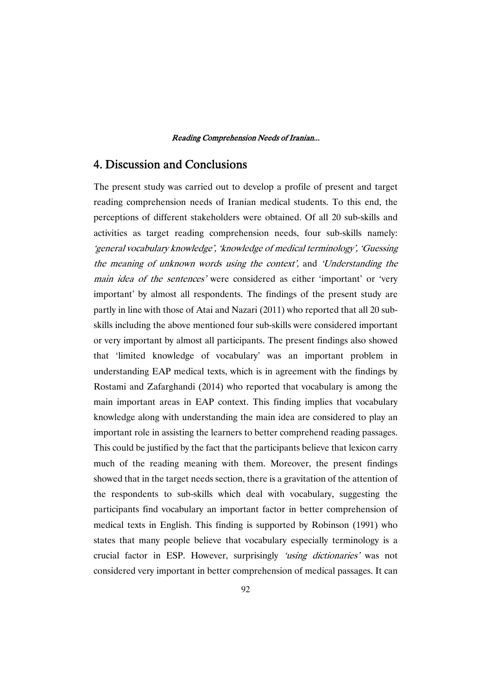## 4. Discussion and Conclusions

The present study was carried out to develop a profile of present and target reading comprehension needs of Iranian medical students. To this end, the perceptions of different stakeholders were obtained. Of all 20 sub-skills and activities as target reading comprehension needs, four sub-skills namely: 'general vocabulary knowledge', 'knowledge of medical terminology', 'Guessing the meaning of unknown words using the context', and 'Understanding the main idea of the sentences' were considered as either 'important' or 'very important' by almost all respondents. The findings of the present study are partly in line with those of Atai and Nazari (2011) who reported that all 20 subskills including the above mentioned four sub-skills were considered important or very important by almost all participants. The present findings also showed that 'limited knowledge of vocabulary' was an important problem in understanding EAP medical texts, which is in agreement with the findings by Rostami and Zafarghandi (2014) who reported that vocabulary is among the main important areas in EAP context. This finding implies that vocabulary knowledge along with understanding the main idea are considered to play an important role in assisting the learners to better comprehend reading passages. This could be justified by the fact that the participants believe that lexicon carry much of the reading meaning with them. Moreover, the present findings showed that in the target needs section, there is a gravitation of the attention of the respondents to sub-skills which deal with vocabulary, suggesting the participants find vocabulary an important factor in better comprehension of medical texts in English. This finding is supported by Robinson (1991) who states that many people believe that vocabulary especially terminology is a crucial factor in ESP. However, surprisingly 'using dictionaries' was not considered very important in better comprehension of medical passages. It can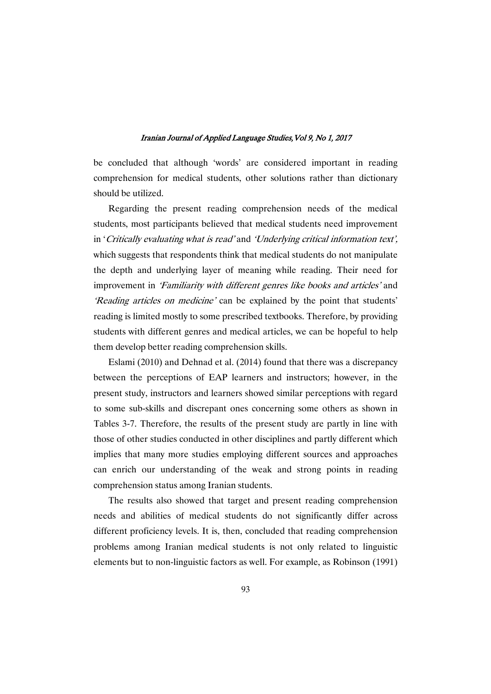be concluded that although 'words' are considered important in reading comprehension for medical students, other solutions rather than dictionary should be utilized.

Regarding the present reading comprehension needs of the medical students, most participants believed that medical students need improvement in 'Critically evaluating what is read' and 'Underlying critical information text', which suggests that respondents think that medical students do not manipulate the depth and underlying layer of meaning while reading. Their need for improvement in 'Familiarity with different genres like books and articles' and 'Reading articles on medicine' can be explained by the point that students' reading is limited mostly to some prescribed textbooks. Therefore, by providing students with different genres and medical articles, we can be hopeful to help them develop better reading comprehension skills.

Eslami (2010) and Dehnad et al. (2014) found that there was a discrepancy between the perceptions of EAP learners and instructors; however, in the present study, instructors and learners showed similar perceptions with regard to some sub-skills and discrepant ones concerning some others as shown in Tables 3-7. Therefore, the results of the present study are partly in line with those of other studies conducted in other disciplines and partly different which implies that many more studies employing different sources and approaches can enrich our understanding of the weak and strong points in reading comprehension status among Iranian students.

The results also showed that target and present reading comprehension needs and abilities of medical students do not significantly differ across different proficiency levels. It is, then, concluded that reading comprehension problems among Iranian medical students is not only related to linguistic elements but to non-linguistic factors as well. For example, as Robinson (1991)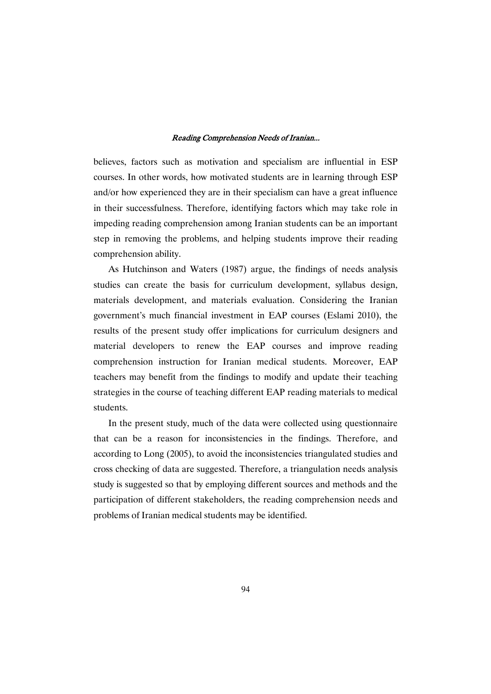believes, factors such as motivation and specialism are influential in ESP courses. In other words, how motivated students are in learning through ESP and/or how experienced they are in their specialism can have a great influence in their successfulness. Therefore, identifying factors which may take role in impeding reading comprehension among Iranian students can be an important step in removing the problems, and helping students improve their reading comprehension ability.

As Hutchinson and Waters (1987) argue, the findings of needs analysis studies can create the basis for curriculum development, syllabus design, materials development, and materials evaluation. Considering the Iranian government's much financial investment in EAP courses (Eslami 2010), the results of the present study offer implications for curriculum designers and material developers to renew the EAP courses and improve reading comprehension instruction for Iranian medical students. Moreover, EAP teachers may benefit from the findings to modify and update their teaching strategies in the course of teaching different EAP reading materials to medical students.

In the present study, much of the data were collected using questionnaire that can be a reason for inconsistencies in the findings. Therefore, and according to Long (2005), to avoid the inconsistencies triangulated studies and cross checking of data are suggested. Therefore, a triangulation needs analysis study is suggested so that by employing different sources and methods and the participation of different stakeholders, the reading comprehension needs and problems of Iranian medical students may be identified.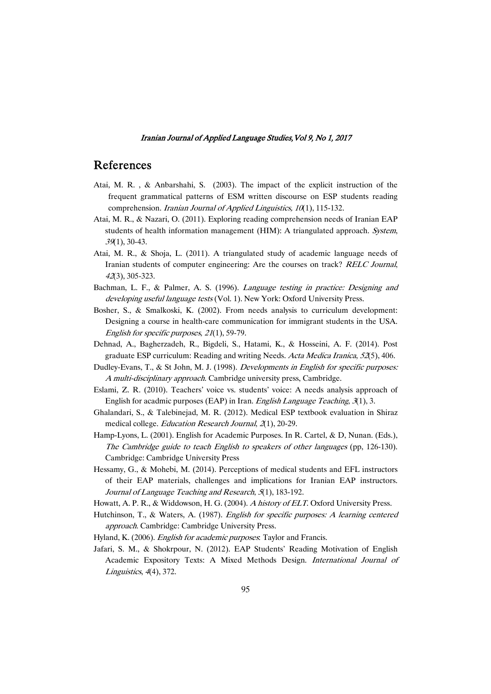## References

- Atai, M. R. , & Anbarshahi, S. (2003). The impact of the explicit instruction of the frequent grammatical patterns of ESM written discourse on ESP students reading comprehension. Iranian Journal of Applied Linguistics, 10(1), 115-132.
- Atai, M. R., & Nazari, O. (2011). Exploring reading comprehension needs of Iranian EAP students of health information management (HIM): A triangulated approach. System, <sup>39</sup>(1), 30-43.
- Atai, M. R., & Shoja, L. (2011). A triangulated study of academic language needs of Iranian students of computer engineering: Are the courses on track? RELC Journal, <sup>42</sup>(3), 305-323.
- Bachman, L. F., & Palmer, A. S. (1996). Language testing in practice: Designing and developing useful language tests (Vol. 1). New York: Oxford University Press.
- Bosher, S., & Smalkoski, K. (2002). From needs analysis to curriculum development: Designing a course in health-care communication for immigrant students in the USA. English for specific purposes, <sup>21</sup>(1), 59-79.
- Dehnad, A., Bagherzadeh, R., Bigdeli, S., Hatami, K., & Hosseini, A. F. (2014). Post graduate ESP curriculum: Reading and writing Needs. Acta Medica Iranica, <sup>52</sup>(5), 406.
- Dudley-Evans, T., & St John, M. J. (1998). *Developments in English for specific purposes:* <sup>A</sup> multi-disciplinary approach. Cambridge university press, Cambridge.
- Eslami, Z. R. (2010). Teachers' voice vs. students' voice: A needs analysis approach of English for acadmic purposes (EAP) in Iran. English Language Teaching, <sup>3</sup>(1), 3.
- Ghalandari, S., & Talebinejad, M. R. (2012). Medical ESP textbook evaluation in Shiraz medical college. Education Research Journal, <sup>2</sup>(1), 20-29.
- Hamp-Lyons, L. (2001). English for Academic Purposes. In R. Cartel, & D, Nunan. (Eds.), The Cambridge guide to teach English to speakers of other languages (pp, 126-130). Cambridge: Cambridge University Press
- Hessamy, G., & Mohebi, M. (2014). Perceptions of medical students and EFL instructors of their EAP materials, challenges and implications for Iranian EAP instructors. Journal of Language Teaching and Research, <sup>5</sup>(1), 183-192.
- Howatt, A. P. R., & Widdowson, H. G. (2004). <sup>A</sup> history of ELT. Oxford University Press.
- Hutchinson, T., & Waters, A. (1987). English for specific purposes: <sup>A</sup> learning centered approach. Cambridge: Cambridge University Press.
- Hyland, K. (2006). English for academic purposes: Taylor and Francis.
- Jafari, S. M., & Shokrpour, N. (2012). EAP Students' Reading Motivation of English Academic Expository Texts: A Mixed Methods Design. International Journal of Linguistics, <sup>4</sup>(4), 372.